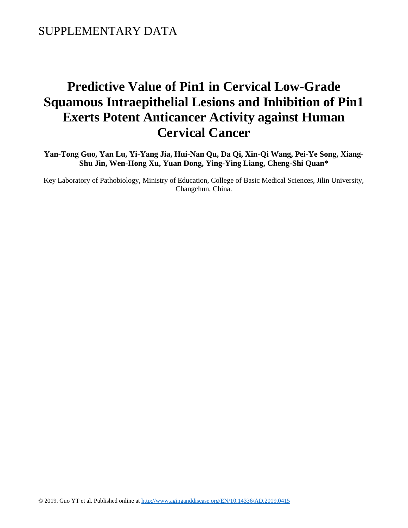### SUPPLEMENTARY DATA

# **Predictive Value of Pin1 in Cervical Low-Grade Squamous Intraepithelial Lesions and Inhibition of Pin1 Exerts Potent Anticancer Activity against Human Cervical Cancer**

**Yan-Tong Guo, Yan Lu, Yi-Yang Jia, Hui-Nan Qu, Da Qi, Xin-Qi Wang, Pei-Ye Song, Xiang-Shu Jin, Wen-Hong Xu, Yuan Dong, Ying-Ying Liang, Cheng-Shi Quan\***

Key Laboratory of Pathobiology, Ministry of Education, College of Basic Medical Sciences, Jilin University, Changchun, China.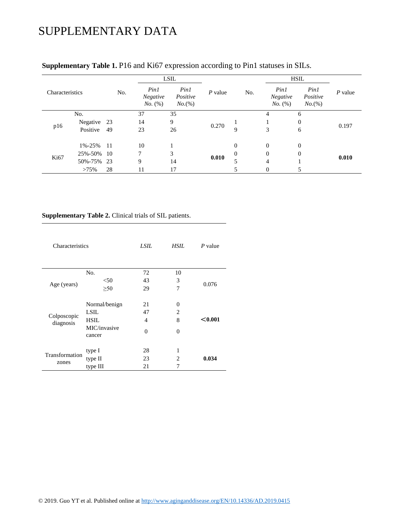# SUPPLEMENTARY DATA

| Characteristics  |             | No. | LSIL                        |                               |           |              | <b>HSIL</b>                 |                               |           |
|------------------|-------------|-----|-----------------------------|-------------------------------|-----------|--------------|-----------------------------|-------------------------------|-----------|
|                  |             |     | Pinl<br>Negative<br>No. (%) | Pin1<br>Positive<br>$No.$ (%) | $P$ value | No.          | Pin1<br>Negative<br>No. (%) | Pin1<br>Positive<br>$No.$ (%) | $P$ value |
|                  | No.         |     | 37                          | 35                            | 0.270     |              | 4                           | 6                             | 0.197     |
| p16              | Negative 23 |     | 14                          | 9                             |           |              |                             | $\mathbf{0}$                  |           |
|                  | Positive    | 49  | 23                          | 26                            |           | 9            | 3                           | 6                             |           |
| K <sub>i67</sub> | 1%-25%      | -11 | 10                          |                               | 0.010     | $\mathbf{0}$ | $\theta$                    | $\mathbf{0}$                  | 0.010     |
|                  | 25%-50% 10  |     | $\tau$                      | 3                             |           | $\Omega$     | $\overline{0}$              | $\mathbf{0}$                  |           |
|                  | 50%-75% 23  |     | 9                           | 14                            |           |              | $\overline{4}$              |                               |           |
|                  | >75%        | 28  | 11                          | 17                            |           |              | $\Omega$                    |                               |           |

### **Supplementary Table 1.** P16 and Ki67 expression according to Pin1 statuses in SILs.

#### **Supplementary Table 2.** Clinical trials of SIL patients.

| Characteristics          |                                                                | LSIL               | HSIL.                                        | P value |  |
|--------------------------|----------------------------------------------------------------|--------------------|----------------------------------------------|---------|--|
|                          | No.                                                            | 72                 | 10                                           |         |  |
|                          | < 50                                                           | 43                 | 3                                            | 0.076   |  |
| Age (years)              | $\geq 50$                                                      | 29                 | 7                                            |         |  |
| Colposcopic<br>diagnosis | Normal/benign<br>LSIL<br><b>HSIL</b><br>MIC/invasive<br>cancer | 21<br>47<br>4<br>0 | 0<br>$\mathfrak{D}_{\mathfrak{p}}$<br>8<br>0 | < 0.001 |  |
| Transformation<br>zones  | type I<br>type II<br>type III                                  | 28<br>23<br>21     | 1<br>$\mathfrak{D}$<br>7                     | 0.034   |  |